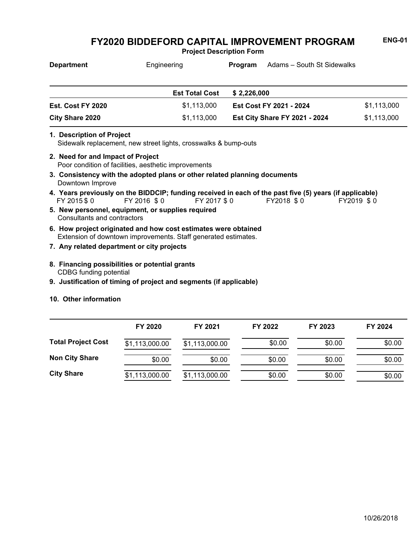**Project Description Form**

| <b>Department</b>                 | Engineering                                                                                                                                                                                          | Adams – South St Sidewalks<br><b>Program</b>                                                            |             |
|-----------------------------------|------------------------------------------------------------------------------------------------------------------------------------------------------------------------------------------------------|---------------------------------------------------------------------------------------------------------|-------------|
|                                   | <b>Est Total Cost</b>                                                                                                                                                                                | \$2,226,000                                                                                             |             |
| Est. Cost FY 2020                 | \$1,113,000                                                                                                                                                                                          | <b>Est Cost FY 2021 - 2024</b>                                                                          | \$1,113,000 |
| <b>City Share 2020</b>            | \$1,113,000                                                                                                                                                                                          | <b>Est City Share FY 2021 - 2024</b>                                                                    | \$1,113,000 |
| 2. Need for and Impact of Project | Sidewalk replacement, new street lights, crosswalks & bump-outs<br>Poor condition of facilities, aesthetic improvements<br>3. Consistency with the adopted plans or other related planning documents |                                                                                                         |             |
| Downtown Improve                  |                                                                                                                                                                                                      | 4. Years previously on the BIDDCIP; funding received in each of the past five (5) years (if applicable) |             |
| FY 2015 \$ 0                      | FY 2016 \$0<br>FY 2017 \$0                                                                                                                                                                           | FY2018 \$0                                                                                              | FY2019 \$0  |
| Consultants and contractors       | 5. New personnel, equipment, or supplies required                                                                                                                                                    |                                                                                                         |             |
|                                   | 6. How project originated and how cost estimates were obtained<br>Extension of downtown improvements. Staff generated estimates.                                                                     |                                                                                                         |             |

- **7. Any related department or city projects**
- CDBG funding potential **8. Financing possibilities or potential grants**
- **9. Justification of timing of project and segments (if applicable)**

#### **10. Other information**

|                           | FY 2020        | FY 2021        | FY 2022 | FY 2023 | FY 2024 |
|---------------------------|----------------|----------------|---------|---------|---------|
| <b>Total Project Cost</b> | \$1,113,000.00 | \$1,113,000.00 | \$0.00  | \$0.00  | \$0.00  |
| <b>Non City Share</b>     | \$0.00         | \$0.00         | \$0.00  | \$0.00  | \$0.00  |
| <b>City Share</b>         | \$1,113,000.00 | \$1,113,000.00 | \$0.00  | \$0.00  | \$0.00  |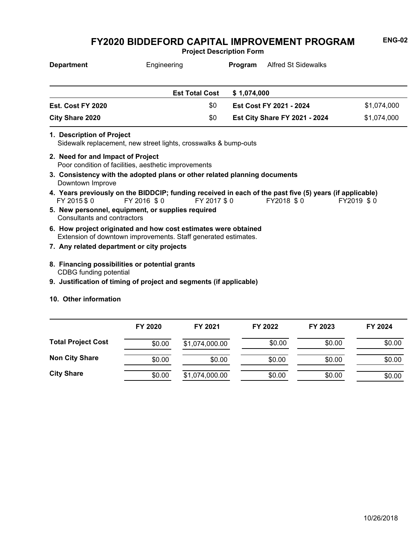**Project Description Form**

| <b>Department</b>                 | Engineering                                                                                                                           | Program     | Alfred St Sidewalks                  |             |
|-----------------------------------|---------------------------------------------------------------------------------------------------------------------------------------|-------------|--------------------------------------|-------------|
|                                   | <b>Est Total Cost</b>                                                                                                                 | \$1,074,000 |                                      |             |
| Est. Cost FY 2020                 | \$0                                                                                                                                   |             | Est Cost FY 2021 - 2024              | \$1,074,000 |
| <b>City Share 2020</b>            | \$0                                                                                                                                   |             | <b>Est City Share FY 2021 - 2024</b> | \$1,074,000 |
| 1. Description of Project         | Sidewalk replacement, new street lights, crosswalks & bump-outs                                                                       |             |                                      |             |
| 2. Need for and Impact of Project | Poor condition of facilities, aesthetic improvements                                                                                  |             |                                      |             |
| Downtown Improve                  | 3. Consistency with the adopted plans or other related planning documents                                                             |             |                                      |             |
| FY 2015 \$0                       | 4. Years previously on the BIDDCIP; funding received in each of the past five (5) years (if applicable)<br>FY 2016 \$0<br>FY 2017 \$0 |             | FY2018 \$0                           | FY2019 \$0  |
| Consultants and contractors       | 5. New personnel, equipment, or supplies required                                                                                     |             |                                      |             |
|                                   | 6. How project originated and how cost estimates were obtained<br>Extension of downtown improvements. Staff generated estimates.      |             |                                      |             |
|                                   | 7. Any related department or city projects                                                                                            |             |                                      |             |
| CDBG funding potential            | 8. Financing possibilities or potential grants                                                                                        |             |                                      |             |

**9. Justification of timing of project and segments (if applicable)**

#### **10. Other information**

|                           | FY 2020 | FY 2021        | FY 2022 | FY 2023 | FY 2024 |
|---------------------------|---------|----------------|---------|---------|---------|
| <b>Total Project Cost</b> | \$0.00  | \$1,074,000.00 | \$0.00  | \$0.00  | \$0.00  |
| <b>Non City Share</b>     | \$0.00  | \$0.00         | \$0.00  | \$0.00  | \$0.00  |
| <b>City Share</b>         | \$0.00  | \$1,074,000.00 | \$0.00  | \$0.00  | \$0.00  |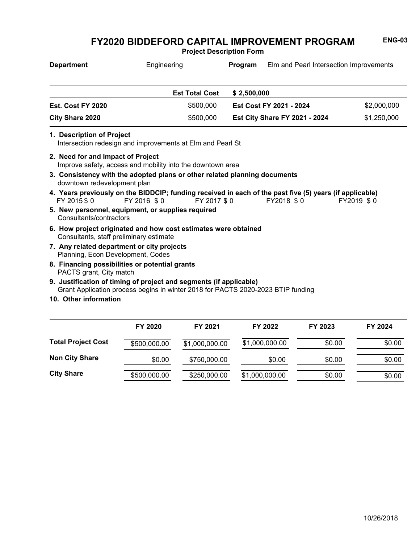**Project Description Form**

| <b>Department</b>                                                               | Engineering                                                                                                                                            | Program     | Elm and Pearl Intersection Improvements |             |
|---------------------------------------------------------------------------------|--------------------------------------------------------------------------------------------------------------------------------------------------------|-------------|-----------------------------------------|-------------|
|                                                                                 | <b>Est Total Cost</b>                                                                                                                                  | \$2,500,000 |                                         |             |
| Est. Cost FY 2020                                                               | \$500,000                                                                                                                                              |             | Est Cost FY 2021 - 2024                 | \$2,000,000 |
| <b>City Share 2020</b>                                                          | \$500,000                                                                                                                                              |             | <b>Est City Share FY 2021 - 2024</b>    | \$1,250,000 |
| 1. Description of Project                                                       | Intersection redesign and improvements at Elm and Pearl St                                                                                             |             |                                         |             |
| 2. Need for and Impact of Project                                               | Improve safety, access and mobility into the downtown area                                                                                             |             |                                         |             |
| downtown redevelopment plan                                                     | 3. Consistency with the adopted plans or other related planning documents                                                                              |             |                                         |             |
| FY 2015 \$0                                                                     | 4. Years previously on the BIDDCIP; funding received in each of the past five (5) years (if applicable)<br>FY 2016 \$0                                 | FY 2017 \$0 | FY2018 \$0                              | FY2019 \$0  |
| Consultants/contractors                                                         | 5. New personnel, equipment, or supplies required                                                                                                      |             |                                         |             |
| Consultants, staff preliminary estimate                                         | 6. How project originated and how cost estimates were obtained                                                                                         |             |                                         |             |
| 7. Any related department or city projects<br>Planning, Econ Development, Codes |                                                                                                                                                        |             |                                         |             |
| PACTS grant, City match                                                         | 8. Financing possibilities or potential grants                                                                                                         |             |                                         |             |
|                                                                                 | 9. Justification of timing of project and segments (if applicable)<br>Grant Application process begins in winter 2018 for PACTS 2020-2023 BTIP funding |             |                                         |             |
| 10. Other information                                                           |                                                                                                                                                        |             |                                         |             |

|                           | FY 2020      | FY 2021        | FY 2022        | FY 2023 | FY 2024 |
|---------------------------|--------------|----------------|----------------|---------|---------|
| <b>Total Project Cost</b> | \$500,000.00 | \$1,000,000.00 | \$1,000,000.00 | \$0.00  | \$0.00  |
| <b>Non City Share</b>     | \$0.00       | \$750,000.00   | \$0.00         | \$0.00  | \$0.00  |
| <b>City Share</b>         | \$500,000.00 | \$250,000.00   | \$1,000,000.00 | \$0.00  | \$0.00  |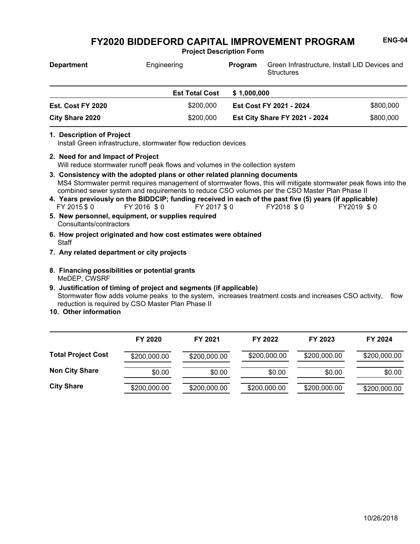**Project Description Form**

| <b>Department</b>      | Engineering           | Program     | Green Infrastructure, Install LID Devices and<br><b>Structures</b> |           |
|------------------------|-----------------------|-------------|--------------------------------------------------------------------|-----------|
|                        | <b>Est Total Cost</b> | \$1,000,000 |                                                                    |           |
| Est. Cost FY 2020      | \$200,000             |             | Est Cost FY 2021 - 2024                                            | \$800,000 |
| <b>City Share 2020</b> | \$200,000             |             | <b>Est City Share FY 2021 - 2024</b>                               | \$800,000 |

#### **1. Description of Project**

Install Green infrastructure, stormwater flow reduction devices

- Will reduce stormwater runoff peak flows and volumes in the collection system **2. Need for and Impact of Project**
- MS4 Stormwater permit requires management of stormwater flows, this will mitigate stormwater peak flows into the combined sewer system and requirements to reduce CSO volumes per the CSO Master Plan Phase II **3. Consistency with the adopted plans or other related planning documents**
- FY 2015 \$ 0 FY 2016 \$ 0 FY 2017 \$ 0 FY2018 \$ 0 FY2019 \$ 0 **4. Years previously on the BIDDCIP; funding received in each of the past five (5) years (if applicable)**
- Consultants/contractors **5. New personnel, equipment, or supplies required**
- **Staff 6. How project originated and how cost estimates were obtained**
- **7. Any related department or city projects**
- MeDEP, CWSRF **8. Financing possibilities or potential grants**
- Stormwater flow adds volume peaks to the system, increases treatment costs and increases CSO activity, flow reduction is required by CSO Master Plan Phase II **9. Justification of timing of project and segments (if applicable)**
- **10. Other information**

|                           | FY 2020      | FY 2021      | FY 2022      | FY 2023      | FY 2024      |
|---------------------------|--------------|--------------|--------------|--------------|--------------|
| <b>Total Project Cost</b> | \$200,000.00 | \$200,000.00 | \$200,000.00 | \$200,000.00 | \$200,000.00 |
| <b>Non City Share</b>     | \$0.00       | \$0.00       | \$0.00       | \$0.00       | \$0.00       |
| <b>City Share</b>         | \$200,000.00 | \$200,000.00 | \$200,000.00 | \$200,000.00 | \$200,000.00 |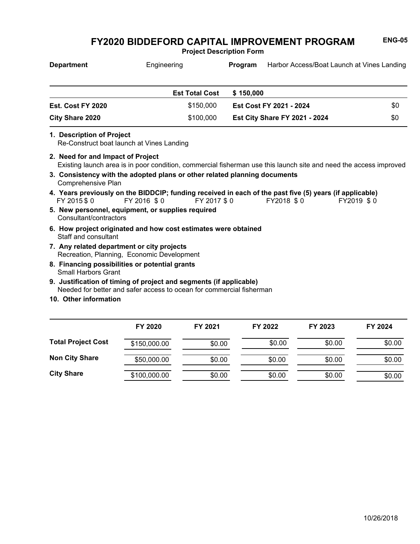**Project Description Form**

| <b>Department</b>                                                            | Engineering                                                                                                                                | Program     |                                      | Harbor Access/Boat Launch at Vines Landing |
|------------------------------------------------------------------------------|--------------------------------------------------------------------------------------------------------------------------------------------|-------------|--------------------------------------|--------------------------------------------|
|                                                                              | <b>Est Total Cost</b>                                                                                                                      | \$150,000   |                                      |                                            |
| <b>Est. Cost FY 2020</b>                                                     | \$150,000                                                                                                                                  |             | Est Cost FY 2021 - 2024              | \$0                                        |
| City Share 2020                                                              | \$100,000                                                                                                                                  |             | <b>Est City Share FY 2021 - 2024</b> | \$0                                        |
| 1. Description of Project<br>Re-Construct boat launch at Vines Landing       |                                                                                                                                            |             |                                      |                                            |
| 2. Need for and Impact of Project                                            | Existing launch area is in poor condition, commercial fisherman use this launch site and need the access improved                          |             |                                      |                                            |
| Comprehensive Plan                                                           | 3. Consistency with the adopted plans or other related planning documents                                                                  |             |                                      |                                            |
| FY 2015 \$0                                                                  | 4. Years previously on the BIDDCIP; funding received in each of the past five (5) years (if applicable)<br>FY 2016 \$0                     | FY 2017 \$0 | FY2018 \$0                           | FY2019 \$0                                 |
| Consultant/contractors                                                       | 5. New personnel, equipment, or supplies required                                                                                          |             |                                      |                                            |
| Staff and consultant                                                         | 6. How project originated and how cost estimates were obtained                                                                             |             |                                      |                                            |
| 7. Any related department or city projects                                   | Recreation, Planning, Economic Development                                                                                                 |             |                                      |                                            |
| 8. Financing possibilities or potential grants<br><b>Small Harbors Grant</b> |                                                                                                                                            |             |                                      |                                            |
|                                                                              | 9. Justification of timing of project and segments (if applicable)<br>Needed for better and safer access to ocean for commercial fisherman |             |                                      |                                            |
| 10. Other information                                                        |                                                                                                                                            |             |                                      |                                            |

|                           | FY 2020      | FY 2021 | FY 2022 | FY 2023 | FY 2024 |
|---------------------------|--------------|---------|---------|---------|---------|
| <b>Total Project Cost</b> | \$150,000.00 | \$0.00  | \$0.00  | \$0.00  | \$0.00  |
| <b>Non City Share</b>     | \$50,000.00  | \$0.00  | \$0.00  | \$0.00  | \$0.00  |
| <b>City Share</b>         | \$100,000.00 | \$0.00  | \$0.00  | \$0.00  | \$0.00  |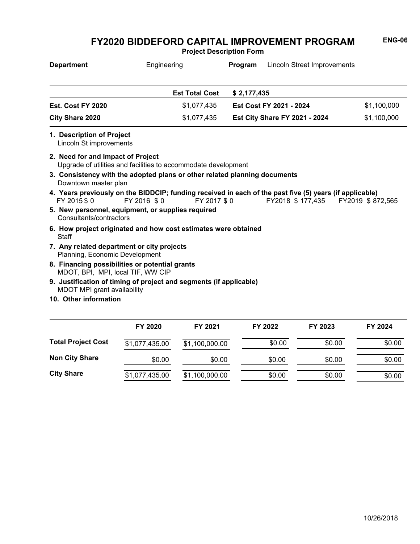**Project Description Form**

| <b>Department</b>                                                                   | Engineering                                                                                                                           | Program     | <b>Lincoln Street Improvements</b>   |             |
|-------------------------------------------------------------------------------------|---------------------------------------------------------------------------------------------------------------------------------------|-------------|--------------------------------------|-------------|
|                                                                                     | <b>Est Total Cost</b>                                                                                                                 | \$2,177,435 |                                      |             |
| Est. Cost FY 2020                                                                   | \$1,077,435                                                                                                                           |             | Est Cost FY 2021 - 2024              | \$1,100,000 |
| <b>City Share 2020</b>                                                              | \$1,077,435                                                                                                                           |             | <b>Est City Share FY 2021 - 2024</b> | \$1,100,000 |
| 1. Description of Project<br>Lincoln St improvements                                |                                                                                                                                       |             |                                      |             |
| 2. Need for and Impact of Project                                                   | Upgrade of utilities and facilities to accommodate development                                                                        |             |                                      |             |
| Downtown master plan                                                                | 3. Consistency with the adopted plans or other related planning documents                                                             |             |                                      |             |
| FY 2015 \$ 0                                                                        | 4. Years previously on the BIDDCIP; funding received in each of the past five (5) years (if applicable)<br>FY 2016 \$0<br>FY 2017 \$0 |             | FY2018 \$177,435 FY2019 \$872,565    |             |
| 5. New personnel, equipment, or supplies required<br>Consultants/contractors        |                                                                                                                                       |             |                                      |             |
| Staff                                                                               | 6. How project originated and how cost estimates were obtained                                                                        |             |                                      |             |
| 7. Any related department or city projects<br>Planning, Economic Development        |                                                                                                                                       |             |                                      |             |
| 8. Financing possibilities or potential grants<br>MDOT, BPI, MPI, local TIF, WW CIP |                                                                                                                                       |             |                                      |             |
| MDOT MPI grant availability                                                         | 9. Justification of timing of project and segments (if applicable)                                                                    |             |                                      |             |
| 10 Otharinformation                                                                 |                                                                                                                                       |             |                                      |             |

**10. Other information**

|                           | FY 2020        | FY 2021        | FY 2022 | FY 2023 | FY 2024 |
|---------------------------|----------------|----------------|---------|---------|---------|
| <b>Total Project Cost</b> | \$1,077,435.00 | \$1,100,000.00 | \$0.00  | \$0.00  | \$0.00  |
| <b>Non City Share</b>     | \$0.00         | \$0.00         | \$0.00  | \$0.00  | \$0.00  |
| <b>City Share</b>         | \$1,077,435.00 | \$1,100,000.00 | \$0.00  | \$0.00  | \$0.00  |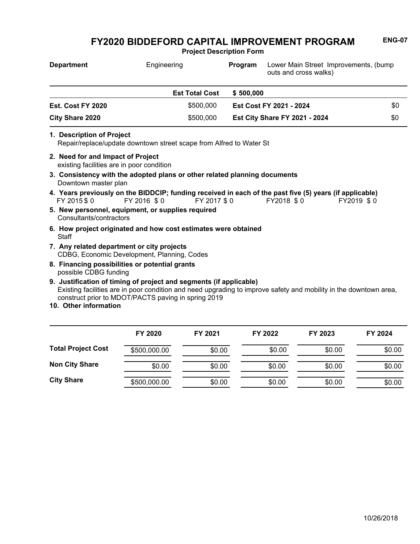**Project Description Form**

| <b>Department</b>                                                                                                                                  | Engineering           | Program     | Lower Main Street Improvements, (bump<br>outs and cross walks)                                                                      |     |
|----------------------------------------------------------------------------------------------------------------------------------------------------|-----------------------|-------------|-------------------------------------------------------------------------------------------------------------------------------------|-----|
|                                                                                                                                                    | <b>Est Total Cost</b> | \$500,000   |                                                                                                                                     |     |
| Est. Cost FY 2020                                                                                                                                  | \$500,000             |             | Est Cost FY 2021 - 2024                                                                                                             | \$0 |
| <b>City Share 2020</b>                                                                                                                             | \$500,000             |             | <b>Est City Share FY 2021 - 2024</b>                                                                                                | \$0 |
| 1. Description of Project<br>Repair/replace/update downtown street scape from Alfred to Water St                                                   |                       |             |                                                                                                                                     |     |
| 2. Need for and Impact of Project<br>existing facilities are in poor condition                                                                     |                       |             |                                                                                                                                     |     |
| 3. Consistency with the adopted plans or other related planning documents<br>Downtown master plan                                                  |                       |             |                                                                                                                                     |     |
| FY 2015 \$0                                                                                                                                        | FY 2016 \$0           | FY 2017 \$0 | 4. Years previously on the BIDDCIP; funding received in each of the past five (5) years (if applicable)<br>FY2018 \$0<br>FY2019 \$0 |     |
| 5. New personnel, equipment, or supplies required<br>Consultants/contractors                                                                       |                       |             |                                                                                                                                     |     |
| 6. How project originated and how cost estimates were obtained<br>Staff                                                                            |                       |             |                                                                                                                                     |     |
| 7. Any related department or city projects<br>CDBG, Economic Development, Planning, Codes                                                          |                       |             |                                                                                                                                     |     |
| 8. Financing possibilities or potential grants<br>possible CDBG funding                                                                            |                       |             |                                                                                                                                     |     |
| 9. Justification of timing of project and segments (if applicable)<br>construct prior to MDOT/PACTS paving in spring 2019<br>10. Other information |                       |             | Existing facilities are in poor condition and need upgrading to improve safety and mobility in the downtown area,                   |     |
|                                                                                                                                                    |                       |             |                                                                                                                                     |     |

|                           | FY 2020      | FY 2021 | FY 2022 | FY 2023 | FY 2024 |
|---------------------------|--------------|---------|---------|---------|---------|
| <b>Total Project Cost</b> | \$500,000.00 | \$0.00  | \$0.00  | \$0.00  | \$0.00  |
| <b>Non City Share</b>     | \$0.00       | \$0.00  | \$0.00  | \$0.00  | \$0.00  |
| <b>City Share</b>         | \$500,000.00 | \$0.00  | \$0.00  | \$0.00  | \$0.00  |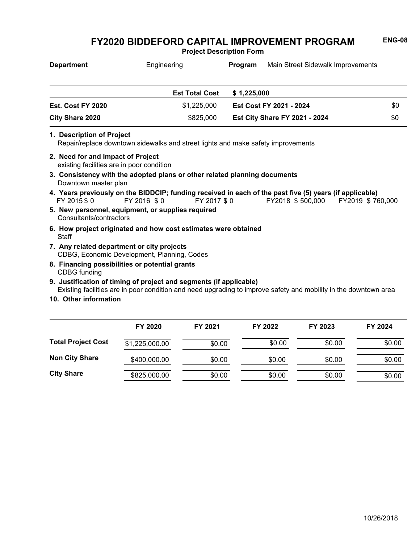**Project Description Form**

| <b>Department</b> | Engineering           | Main Street Sidewalk Improvements<br>Program |                                      |     |
|-------------------|-----------------------|----------------------------------------------|--------------------------------------|-----|
|                   |                       |                                              |                                      |     |
|                   | <b>Est Total Cost</b> | \$1,225,000                                  |                                      |     |
| Est. Cost FY 2020 | \$1,225,000           |                                              | Est Cost FY 2021 - 2024              | \$0 |
| City Share 2020   | \$825,000             |                                              | <b>Est City Share FY 2021 - 2024</b> | \$0 |

**1. Description of Project**

Repair/replace downtown sidewalks and street lights and make safety improvements

- existing facilities are in poor condition **2. Need for and Impact of Project**
- Downtown master plan **3. Consistency with the adopted plans or other related planning documents**
- FY 2015 \$ 0 FY 2016 \$ 0 FY 2017 \$ 0 FY2018 \$ 500,000 FY2019 \$ 760,000 **4. Years previously on the BIDDCIP; funding received in each of the past five (5) years (if applicable)**
- Consultants/contractors **5. New personnel, equipment, or supplies required**
- **Staff 6. How project originated and how cost estimates were obtained**
- CDBG, Economic Development, Planning, Codes **7. Any related department or city projects**
- CDBG funding **8. Financing possibilities or potential grants**
- Existing facilities are in poor condition and need upgrading to improve safety and mobility in the downtown area **9. Justification of timing of project and segments (if applicable)**
- **10. Other information**

|                           | FY 2020        | FY 2021 | FY 2022 | FY 2023 | FY 2024 |
|---------------------------|----------------|---------|---------|---------|---------|
| <b>Total Project Cost</b> | \$1,225,000.00 | \$0.00  | \$0.00  | \$0.00  | \$0.00  |
| <b>Non City Share</b>     | \$400,000.00   | \$0.00  | \$0.00  | \$0.00  | \$0.00  |
| <b>City Share</b>         | \$825,000.00   | \$0.00  | \$0.00  | \$0.00  | \$0.00  |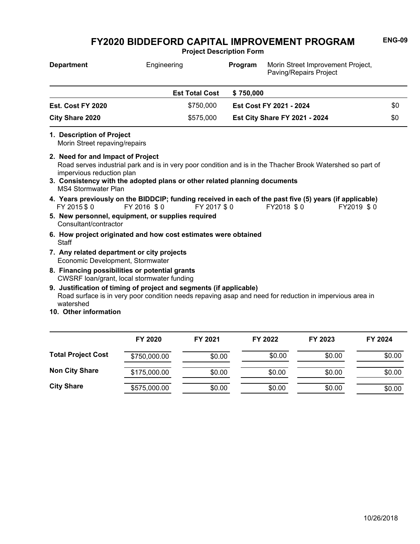**Project Description Form**

| <b>Department</b>                                                                            | Engineering                                                                                  |             | Program   | Morin Street Improvement Project,<br>Paving/Repairs Project                                                                         |     |
|----------------------------------------------------------------------------------------------|----------------------------------------------------------------------------------------------|-------------|-----------|-------------------------------------------------------------------------------------------------------------------------------------|-----|
|                                                                                              | <b>Est Total Cost</b>                                                                        |             | \$750,000 |                                                                                                                                     |     |
| Est. Cost FY 2020                                                                            |                                                                                              | \$750,000   |           | Est Cost FY 2021 - 2024                                                                                                             | \$0 |
| <b>City Share 2020</b>                                                                       |                                                                                              | \$575,000   |           | <b>Est City Share FY 2021 - 2024</b>                                                                                                | \$0 |
| 1. Description of Project<br>Morin Street repaving/repairs                                   |                                                                                              |             |           |                                                                                                                                     |     |
| 2. Need for and Impact of Project<br>impervious reduction plan<br><b>MS4 Stormwater Plan</b> | 3. Consistency with the adopted plans or other related planning documents                    |             |           | Road serves industrial park and is in very poor condition and is in the Thacher Brook Watershed so part of                          |     |
| FY 2015 \$0                                                                                  | FY 2016 \$0                                                                                  | FY 2017 \$0 |           | 4. Years previously on the BIDDCIP; funding received in each of the past five (5) years (if applicable)<br>FY2018 \$0<br>FY2019 \$0 |     |
| Consultant/contractor                                                                        | 5. New personnel, equipment, or supplies required                                            |             |           |                                                                                                                                     |     |
| <b>Staff</b>                                                                                 | 6. How project originated and how cost estimates were obtained                               |             |           |                                                                                                                                     |     |
| Economic Development, Stormwater                                                             | 7. Any related department or city projects                                                   |             |           |                                                                                                                                     |     |
|                                                                                              | 8. Financing possibilities or potential grants<br>CWSRF loan/grant, local stormwater funding |             |           |                                                                                                                                     |     |
| watershed<br>10. Other information                                                           | 9. Justification of timing of project and segments (if applicable)                           |             |           | Road surface is in very poor condition needs repaving asap and need for reduction in impervious area in                             |     |

|                           | FY 2020      | FY 2021 | FY 2022 | FY 2023 | FY 2024 |
|---------------------------|--------------|---------|---------|---------|---------|
| <b>Total Project Cost</b> | \$750,000.00 | \$0.00  | \$0.00  | \$0.00  | \$0.00  |
| <b>Non City Share</b>     | \$175,000.00 | \$0.00  | \$0.00  | \$0.00  | \$0.00  |
| <b>City Share</b>         | \$575,000.00 | \$0.00  | \$0.00  | \$0.00  | \$0.00  |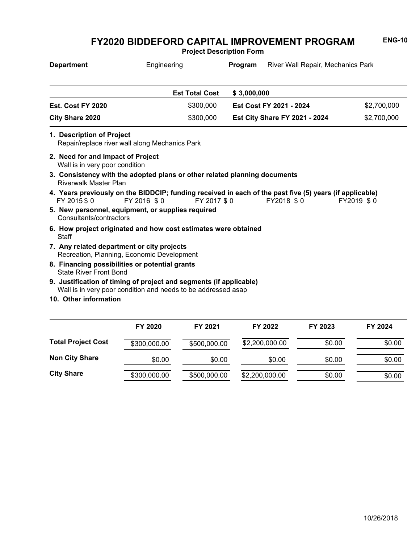**Project Description Form**

| <b>Department</b>                                                                                                                   | Engineering |                       | Program     | River Wall Repair, Mechanics Park                                                                                     |             |
|-------------------------------------------------------------------------------------------------------------------------------------|-------------|-----------------------|-------------|-----------------------------------------------------------------------------------------------------------------------|-------------|
|                                                                                                                                     |             | <b>Est Total Cost</b> | \$3,000,000 |                                                                                                                       |             |
| Est. Cost FY 2020                                                                                                                   |             | \$300,000             |             | Est Cost FY 2021 - 2024                                                                                               | \$2,700,000 |
| <b>City Share 2020</b>                                                                                                              |             | \$300,000             |             | <b>Est City Share FY 2021 - 2024</b>                                                                                  | \$2,700,000 |
| 1. Description of Project<br>Repair/replace river wall along Mechanics Park                                                         |             |                       |             |                                                                                                                       |             |
| 2. Need for and Impact of Project<br>Wall is in very poor condition                                                                 |             |                       |             |                                                                                                                       |             |
| 3. Consistency with the adopted plans or other related planning documents<br><b>Riverwalk Master Plan</b>                           |             |                       |             |                                                                                                                       |             |
| FY 2015 \$ 0                                                                                                                        | FY 2016 \$0 | FY 2017 \$0           |             | 4. Years previously on the BIDDCIP; funding received in each of the past five (5) years (if applicable)<br>FY2018 \$0 | FY2019 \$0  |
| 5. New personnel, equipment, or supplies required<br>Consultants/contractors                                                        |             |                       |             |                                                                                                                       |             |
| 6. How project originated and how cost estimates were obtained<br>Staff                                                             |             |                       |             |                                                                                                                       |             |
| 7. Any related department or city projects<br>Recreation, Planning, Economic Development                                            |             |                       |             |                                                                                                                       |             |
| 8. Financing possibilities or potential grants<br><b>State River Front Bond</b>                                                     |             |                       |             |                                                                                                                       |             |
| 9. Justification of timing of project and segments (if applicable)<br>Wall is in very poor condition and needs to be addressed asap |             |                       |             |                                                                                                                       |             |
| 10. Other information                                                                                                               |             |                       |             |                                                                                                                       |             |
|                                                                                                                                     | EV 2020     | EV 2024               |             | EV 2022<br>EV 2022                                                                                                    | EV 2024     |

|                           | FY 2020      | FY 2021      | FY 2022        | FY 2023 | FY 2024 |
|---------------------------|--------------|--------------|----------------|---------|---------|
| <b>Total Project Cost</b> | \$300,000.00 | \$500,000.00 | \$2,200,000.00 | \$0.00  | \$0.00  |
| <b>Non City Share</b>     | \$0.00       | \$0.00       | \$0.00         | \$0.00  | \$0.00  |
| <b>City Share</b>         | \$300,000.00 | \$500,000.00 | \$2,200,000.00 | \$0.00  | \$0.00  |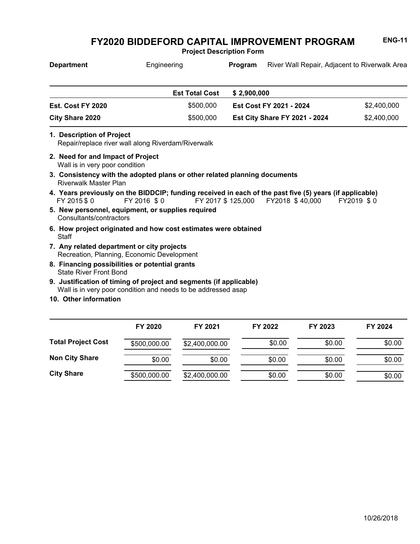**Project Description Form**

| <b>Department</b>         | Engineering                                        | Program     | River Wall Repair, Adjacent to Riverwalk Area |             |
|---------------------------|----------------------------------------------------|-------------|-----------------------------------------------|-------------|
|                           | <b>Est Total Cost</b>                              | \$2,900,000 |                                               |             |
| Est. Cost FY 2020         | \$500,000                                          |             | Est Cost FY 2021 - 2024                       | \$2,400,000 |
| City Share 2020           | \$500,000                                          |             | Est City Share FY 2021 - 2024                 | \$2,400,000 |
| 1. Description of Project | Repair/replace river wall along Riverdam/Riverwalk |             |                                               |             |

- Wall is in very poor condition **2. Need for and Impact of Project**
- Riverwalk Master Plan **3. Consistency with the adopted plans or other related planning documents**
- FY 2015 \$ 0 FY 2016 \$ 0 FY 2017 \$ 125,000 FY2018 \$ 40,000 FY2019 \$ 0 **4. Years previously on the BIDDCIP; funding received in each of the past five (5) years (if applicable)**
- Consultants/contractors **5. New personnel, equipment, or supplies required**
- **Staff 6. How project originated and how cost estimates were obtained**
- Recreation, Planning, Economic Development **7. Any related department or city projects**
- State River Front Bond **8. Financing possibilities or potential grants**
- Wall is in very poor condition and needs to be addressed asap **9. Justification of timing of project and segments (if applicable)**
- **10. Other information**

|                           | FY 2020      | FY 2021        | FY 2022 | FY 2023 | FY 2024 |
|---------------------------|--------------|----------------|---------|---------|---------|
| <b>Total Project Cost</b> | \$500,000.00 | \$2,400,000.00 | \$0.00  | \$0.00  | \$0.00  |
| <b>Non City Share</b>     | \$0.00       | \$0.00         | \$0.00  | \$0.00  | \$0.00  |
| <b>City Share</b>         | \$500,000.00 | \$2,400,000.00 | \$0.00  | \$0.00  | \$0.00  |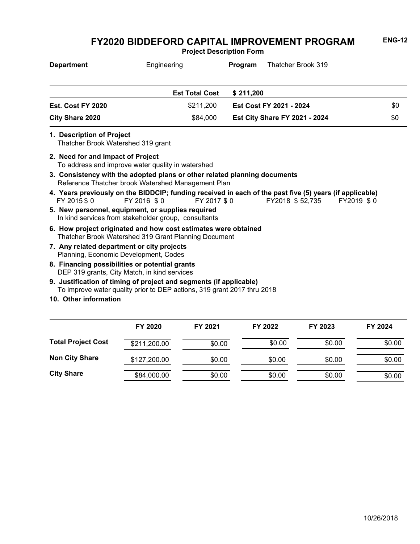**Project Description Form**

| <b>Department</b>      | Engineering           | Thatcher Brook 319<br>Program        |     |
|------------------------|-----------------------|--------------------------------------|-----|
|                        | <b>Est Total Cost</b> | \$211.200                            |     |
| Est. Cost FY 2020      | \$211,200             | Est Cost FY 2021 - 2024              | \$0 |
| <b>City Share 2020</b> | \$84,000              | <b>Est City Share FY 2021 - 2024</b> | \$0 |
|                        |                       |                                      |     |

**1. Description of Project**

Thatcher Brook Watershed 319 grant

- To address and improve water quality in watershed **2. Need for and Impact of Project**
- Reference Thatcher brook Watershed Management Plan **3. Consistency with the adopted plans or other related planning documents**
- FY 2015 \$ 0 FY 2016 \$ 0 FY 2017 \$ 0 FY2018 \$ 52,735 FY2019 \$ 0 **4. Years previously on the BIDDCIP; funding received in each of the past five (5) years (if applicable)**
- In kind services from stakeholder group, consultants **5. New personnel, equipment, or supplies required**
- Thatcher Brook Watershed 319 Grant Planning Document **6. How project originated and how cost estimates were obtained**
- Planning, Economic Development, Codes **7. Any related department or city projects**
- DEP 319 grants, City Match, in kind services **8. Financing possibilities or potential grants**
- To improve water quality prior to DEP actions, 319 grant 2017 thru 2018 **9. Justification of timing of project and segments (if applicable)**
- **10. Other information**

|                           | FY 2020      | FY 2021 | FY 2022 | FY 2023 | FY 2024 |
|---------------------------|--------------|---------|---------|---------|---------|
| <b>Total Project Cost</b> | \$211,200.00 | \$0.00  | \$0.00  | \$0.00  | \$0.00  |
| <b>Non City Share</b>     | \$127,200.00 | \$0.00  | \$0.00  | \$0.00  | \$0.00  |
| <b>City Share</b>         | \$84,000.00  | \$0.00  | \$0.00  | \$0.00  | \$0.00  |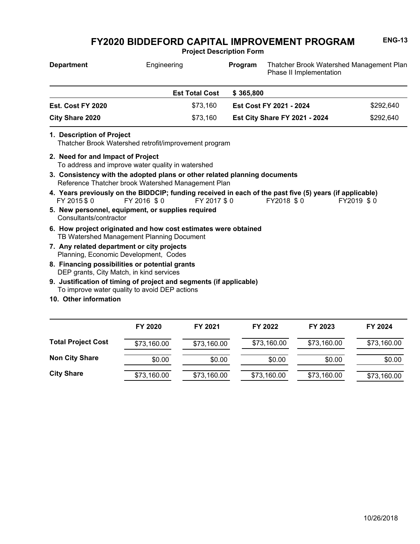**Project Description Form**

| <b>Department</b>      |                                                                                                                                 | Engineering |                       |                                      | Thatcher Brook Watershed Management Plan<br>Program<br>Phase II Implementation                                        |            |           |  |
|------------------------|---------------------------------------------------------------------------------------------------------------------------------|-------------|-----------------------|--------------------------------------|-----------------------------------------------------------------------------------------------------------------------|------------|-----------|--|
|                        |                                                                                                                                 |             | <b>Est Total Cost</b> | \$365,800                            |                                                                                                                       |            |           |  |
|                        | Est. Cost FY 2020                                                                                                               |             | \$73,160              |                                      | Est Cost FY 2021 - 2024                                                                                               |            | \$292,640 |  |
| <b>City Share 2020</b> |                                                                                                                                 |             | \$73,160              | <b>Est City Share FY 2021 - 2024</b> |                                                                                                                       |            | \$292,640 |  |
|                        | 1. Description of Project<br>Thatcher Brook Watershed retrofit/improvement program<br>2. Need for and Impact of Project         |             |                       |                                      |                                                                                                                       |            |           |  |
|                        | To address and improve water quality in watershed                                                                               |             |                       |                                      |                                                                                                                       |            |           |  |
|                        | 3. Consistency with the adopted plans or other related planning documents<br>Reference Thatcher brook Watershed Management Plan |             |                       |                                      |                                                                                                                       |            |           |  |
|                        | FY 2015 \$0                                                                                                                     | FY 2016 \$0 | FY 2017 \$0           |                                      | 4. Years previously on the BIDDCIP; funding received in each of the past five (5) years (if applicable)<br>FY2018 \$0 | FY2019 \$0 |           |  |
|                        | 5. New personnel, equipment, or supplies required<br>Consultants/contractor                                                     |             |                       |                                      |                                                                                                                       |            |           |  |
|                        | C. Haur westend setelseted and kaur sood settmetes wees skistesd                                                                |             |                       |                                      |                                                                                                                       |            |           |  |

- TB Watershed Management Planning Document **6. How project originated and how cost estimates were obtained**
- Planning, Economic Development, Codes **7. Any related department or city projects**
- DEP grants, City Match, in kind services **8. Financing possibilities or potential grants**
- To improve water quality to avoid DEP actions **9. Justification of timing of project and segments (if applicable)**
- **10. Other information**

|                           | FY 2020     | FY 2021     | FY 2022     | FY 2023     | FY 2024     |
|---------------------------|-------------|-------------|-------------|-------------|-------------|
| <b>Total Project Cost</b> | \$73,160.00 | \$73,160.00 | \$73,160.00 | \$73,160.00 | \$73,160.00 |
| <b>Non City Share</b>     | \$0.00      | \$0.00      | \$0.00      | \$0.00      | \$0.00      |
| <b>City Share</b>         | \$73,160.00 | \$73,160.00 | \$73,160.00 | \$73,160.00 | \$73,160.00 |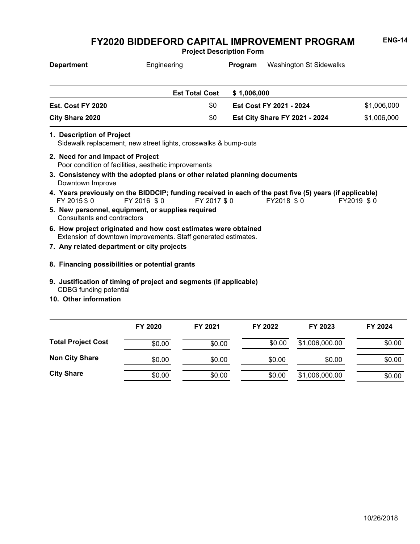**Project Description Form**

| <b>Department</b>                                                                                                                | Engineering                                                                                                            |                       | Program     | <b>Washington St Sidewalks</b>       |             |  |  |  |
|----------------------------------------------------------------------------------------------------------------------------------|------------------------------------------------------------------------------------------------------------------------|-----------------------|-------------|--------------------------------------|-------------|--|--|--|
|                                                                                                                                  |                                                                                                                        | <b>Est Total Cost</b> | \$1,006,000 |                                      |             |  |  |  |
| Est. Cost FY 2020                                                                                                                |                                                                                                                        | \$0                   |             | Est Cost FY 2021 - 2024              | \$1,006,000 |  |  |  |
| <b>City Share 2020</b>                                                                                                           |                                                                                                                        | \$0                   |             | <b>Est City Share FY 2021 - 2024</b> | \$1,006,000 |  |  |  |
| 1. Description of Project<br>Sidewalk replacement, new street lights, crosswalks & bump-outs                                     |                                                                                                                        |                       |             |                                      |             |  |  |  |
| 2. Need for and Impact of Project<br>Poor condition of facilities, aesthetic improvements                                        |                                                                                                                        |                       |             |                                      |             |  |  |  |
| 3. Consistency with the adopted plans or other related planning documents<br>Downtown Improve                                    |                                                                                                                        |                       |             |                                      |             |  |  |  |
| FY 2015 \$ 0                                                                                                                     | 4. Years previously on the BIDDCIP; funding received in each of the past five (5) years (if applicable)<br>FY 2016 \$0 | FY 2017 \$0           |             | FY2018 \$0                           | FY2019 \$0  |  |  |  |
| 5. New personnel, equipment, or supplies required<br>Consultants and contractors                                                 |                                                                                                                        |                       |             |                                      |             |  |  |  |
| 6. How project originated and how cost estimates were obtained<br>Extension of downtown improvements. Staff generated estimates. |                                                                                                                        |                       |             |                                      |             |  |  |  |
|                                                                                                                                  | 7. Any related department or city projects                                                                             |                       |             |                                      |             |  |  |  |

- **8. Financing possibilities or potential grants**
- CDBG funding potential **9. Justification of timing of project and segments (if applicable)**
- **10. Other information**

|                           | FY 2020 | FY 2021 | FY 2022 | FY 2023        | FY 2024 |
|---------------------------|---------|---------|---------|----------------|---------|
| <b>Total Project Cost</b> | \$0.00  | \$0.00  | \$0.00  | \$1,006,000.00 | \$0.00  |
| <b>Non City Share</b>     | \$0.00  | \$0.00  | \$0.00  | \$0.00         | \$0.00  |
| <b>City Share</b>         | \$0.00  | \$0.00  | \$0.00  | \$1,006,000.00 | \$0.00  |